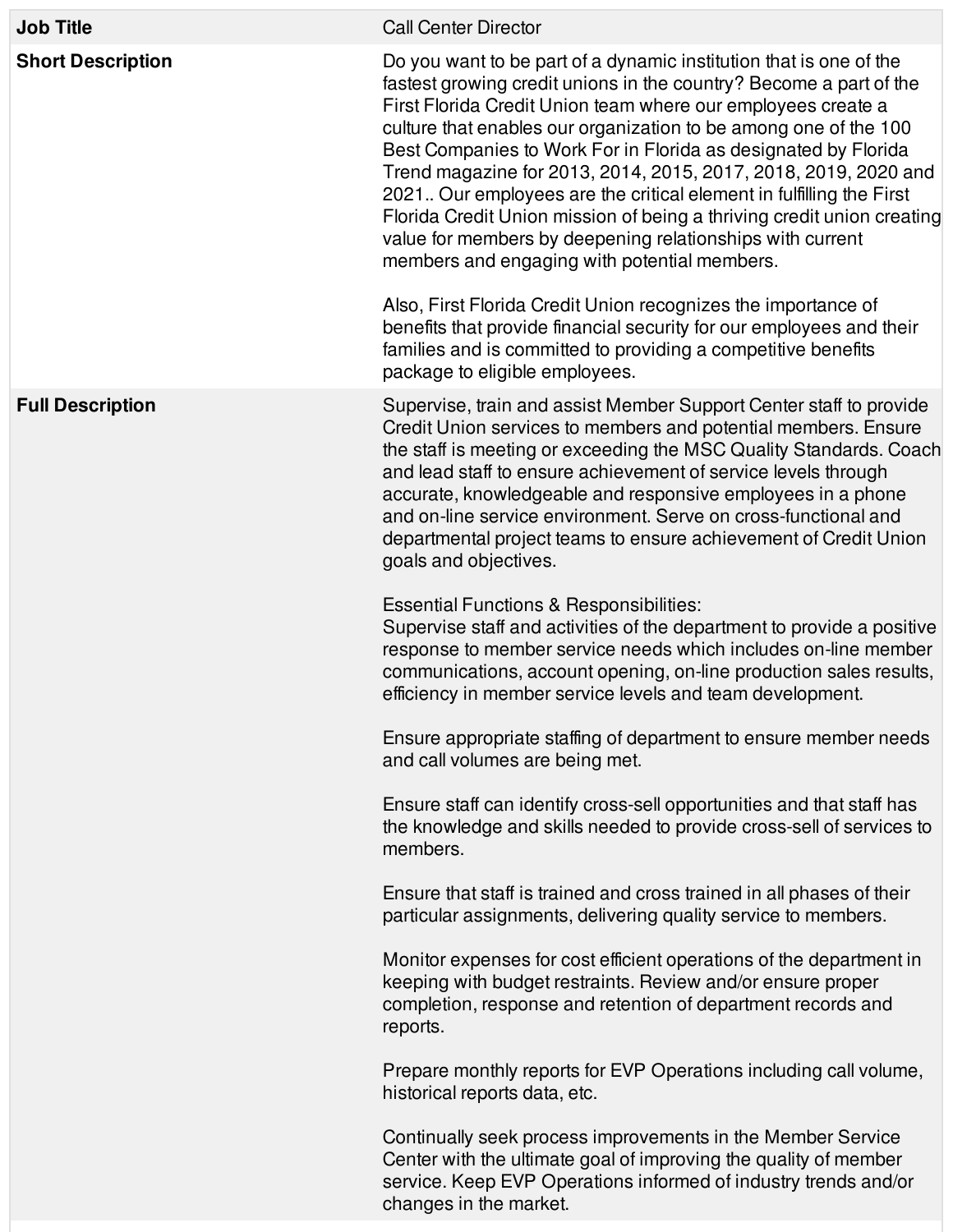| <b>Job Title</b>         | <b>Call Center Director</b>                                                                                                                                                                                                                                                                                                                                                                                                                                                                                                                                                                                                                                                                                                                                                                                                                                                                                                                                                                                                                                                                                                                                                                                                                                    |
|--------------------------|----------------------------------------------------------------------------------------------------------------------------------------------------------------------------------------------------------------------------------------------------------------------------------------------------------------------------------------------------------------------------------------------------------------------------------------------------------------------------------------------------------------------------------------------------------------------------------------------------------------------------------------------------------------------------------------------------------------------------------------------------------------------------------------------------------------------------------------------------------------------------------------------------------------------------------------------------------------------------------------------------------------------------------------------------------------------------------------------------------------------------------------------------------------------------------------------------------------------------------------------------------------|
| <b>Short Description</b> | Do you want to be part of a dynamic institution that is one of the<br>fastest growing credit unions in the country? Become a part of the<br>First Florida Credit Union team where our employees create a<br>culture that enables our organization to be among one of the 100<br>Best Companies to Work For in Florida as designated by Florida<br>Trend magazine for 2013, 2014, 2015, 2017, 2018, 2019, 2020 and<br>2021. Our employees are the critical element in fulfilling the First<br>Florida Credit Union mission of being a thriving credit union creating<br>value for members by deepening relationships with current<br>members and engaging with potential members.<br>Also, First Florida Credit Union recognizes the importance of<br>benefits that provide financial security for our employees and their<br>families and is committed to providing a competitive benefits<br>package to eligible employees.                                                                                                                                                                                                                                                                                                                                   |
| <b>Full Description</b>  | Supervise, train and assist Member Support Center staff to provide<br>Credit Union services to members and potential members. Ensure<br>the staff is meeting or exceeding the MSC Quality Standards. Coach<br>and lead staff to ensure achievement of service levels through<br>accurate, knowledgeable and responsive employees in a phone<br>and on-line service environment. Serve on cross-functional and<br>departmental project teams to ensure achievement of Credit Union<br>goals and objectives.<br><b>Essential Functions &amp; Responsibilities:</b><br>Supervise staff and activities of the department to provide a positive<br>response to member service needs which includes on-line member<br>communications, account opening, on-line production sales results,<br>efficiency in member service levels and team development.<br>Ensure appropriate staffing of department to ensure member needs<br>and call volumes are being met.<br>Ensure staff can identify cross-sell opportunities and that staff has<br>the knowledge and skills needed to provide cross-sell of services to<br>members.<br>Ensure that staff is trained and cross trained in all phases of their<br>particular assignments, delivering quality service to members. |
|                          | Monitor expenses for cost efficient operations of the department in<br>keeping with budget restraints. Review and/or ensure proper<br>completion, response and retention of department records and<br>reports.<br>Prepare monthly reports for EVP Operations including call volume,<br>historical reports data, etc.<br>Continually seek process improvements in the Member Service<br>Center with the ultimate goal of improving the quality of member<br>service. Keep EVP Operations informed of industry trends and/or<br>changes in the market.                                                                                                                                                                                                                                                                                                                                                                                                                                                                                                                                                                                                                                                                                                           |